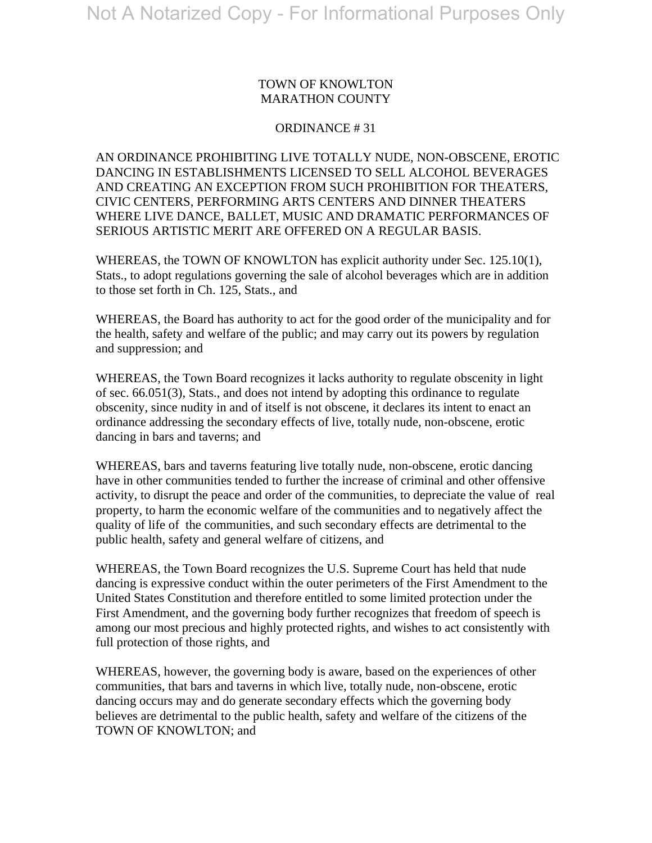### TOWN OF KNOWLTON MARATHON COUNTY

#### ORDINANCE # 31

AN ORDINANCE PROHIBITING LIVE TOTALLY NUDE, NON-OBSCENE, EROTIC DANCING IN ESTABLISHMENTS LICENSED TO SELL ALCOHOL BEVERAGES AND CREATING AN EXCEPTION FROM SUCH PROHIBITION FOR THEATERS, CIVIC CENTERS, PERFORMING ARTS CENTERS AND DINNER THEATERS WHERE LIVE DANCE, BALLET, MUSIC AND DRAMATIC PERFORMANCES OF SERIOUS ARTISTIC MERIT ARE OFFERED ON A REGULAR BASIS.

WHEREAS, the TOWN OF KNOWLTON has explicit authority under Sec. 125.10(1), Stats., to adopt regulations governing the sale of alcohol beverages which are in addition to those set forth in Ch. 125, Stats., and

WHEREAS, the Board has authority to act for the good order of the municipality and for the health, safety and welfare of the public; and may carry out its powers by regulation and suppression; and

WHEREAS, the Town Board recognizes it lacks authority to regulate obscenity in light of sec. 66.051(3), Stats., and does not intend by adopting this ordinance to regulate obscenity, since nudity in and of itself is not obscene, it declares its intent to enact an ordinance addressing the secondary effects of live, totally nude, non-obscene, erotic dancing in bars and taverns; and

WHEREAS, bars and taverns featuring live totally nude, non-obscene, erotic dancing have in other communities tended to further the increase of criminal and other offensive activity, to disrupt the peace and order of the communities, to depreciate the value of real property, to harm the economic welfare of the communities and to negatively affect the quality of life of the communities, and such secondary effects are detrimental to the public health, safety and general welfare of citizens, and

WHEREAS, the Town Board recognizes the U.S. Supreme Court has held that nude dancing is expressive conduct within the outer perimeters of the First Amendment to the United States Constitution and therefore entitled to some limited protection under the First Amendment, and the governing body further recognizes that freedom of speech is among our most precious and highly protected rights, and wishes to act consistently with full protection of those rights, and

WHEREAS, however, the governing body is aware, based on the experiences of other communities, that bars and taverns in which live, totally nude, non-obscene, erotic dancing occurs may and do generate secondary effects which the governing body believes are detrimental to the public health, safety and welfare of the citizens of the TOWN OF KNOWLTON; and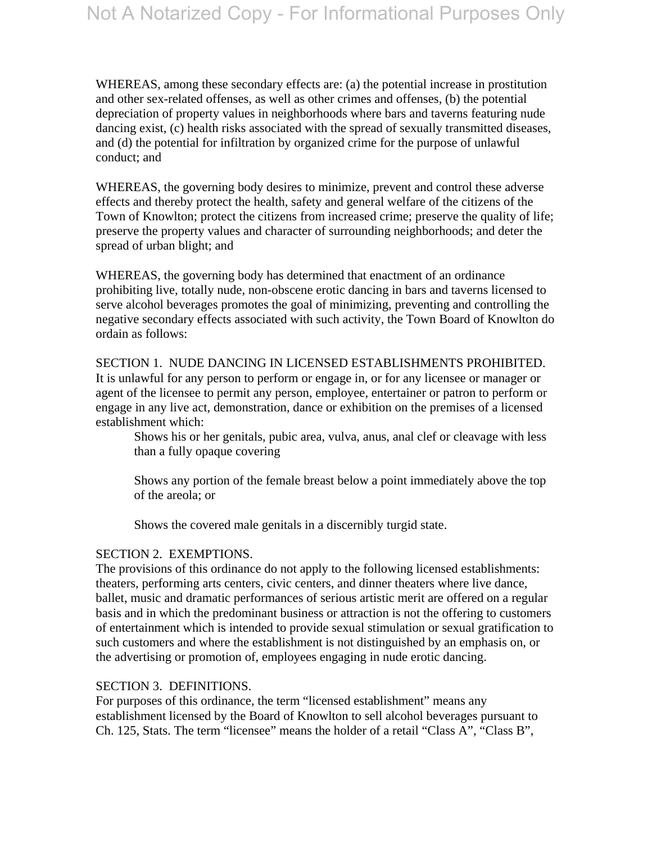WHEREAS, among these secondary effects are: (a) the potential increase in prostitution and other sex-related offenses, as well as other crimes and offenses, (b) the potential depreciation of property values in neighborhoods where bars and taverns featuring nude dancing exist, (c) health risks associated with the spread of sexually transmitted diseases, and (d) the potential for infiltration by organized crime for the purpose of unlawful conduct; and

WHEREAS, the governing body desires to minimize, prevent and control these adverse effects and thereby protect the health, safety and general welfare of the citizens of the Town of Knowlton; protect the citizens from increased crime; preserve the quality of life; preserve the property values and character of surrounding neighborhoods; and deter the spread of urban blight; and

WHEREAS, the governing body has determined that enactment of an ordinance prohibiting live, totally nude, non-obscene erotic dancing in bars and taverns licensed to serve alcohol beverages promotes the goal of minimizing, preventing and controlling the negative secondary effects associated with such activity, the Town Board of Knowlton do ordain as follows:

# SECTION 1. NUDE DANCING IN LICENSED ESTABLISHMENTS PROHIBITED.

It is unlawful for any person to perform or engage in, or for any licensee or manager or agent of the licensee to permit any person, employee, entertainer or patron to perform or engage in any live act, demonstration, dance or exhibition on the premises of a licensed establishment which:

Shows his or her genitals, pubic area, vulva, anus, anal clef or cleavage with less than a fully opaque covering

Shows any portion of the female breast below a point immediately above the top of the areola; or

Shows the covered male genitals in a discernibly turgid state.

# SECTION 2. EXEMPTIONS.

The provisions of this ordinance do not apply to the following licensed establishments: theaters, performing arts centers, civic centers, and dinner theaters where live dance, ballet, music and dramatic performances of serious artistic merit are offered on a regular basis and in which the predominant business or attraction is not the offering to customers of entertainment which is intended to provide sexual stimulation or sexual gratification to such customers and where the establishment is not distinguished by an emphasis on, or the advertising or promotion of, employees engaging in nude erotic dancing.

# SECTION 3. DEFINITIONS.

For purposes of this ordinance, the term "licensed establishment" means any establishment licensed by the Board of Knowlton to sell alcohol beverages pursuant to Ch. 125, Stats. The term "licensee" means the holder of a retail "Class A", "Class B",